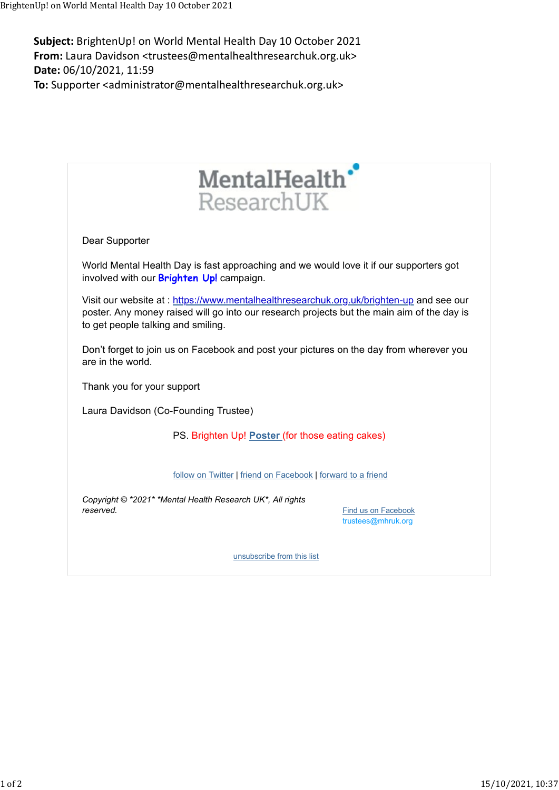Subject: BrightenUp! on World Mental Health Day 10 October 2021 From: Laura Davidson <trustees@mentalhealthresearchuk.org.uk> Date: 06/10/2021, 11:59 To: Supporter <administrator@mentalhealthresearchuk.org.uk> BrightenUp! on World Mental Health Day 10 October 2021<br> **Subject:** BrightenUp! on World Mental Health Day 10 October 2021<br> **From:** Laura Davidson <trustees@mentalhealthresearchuk.org.uk>